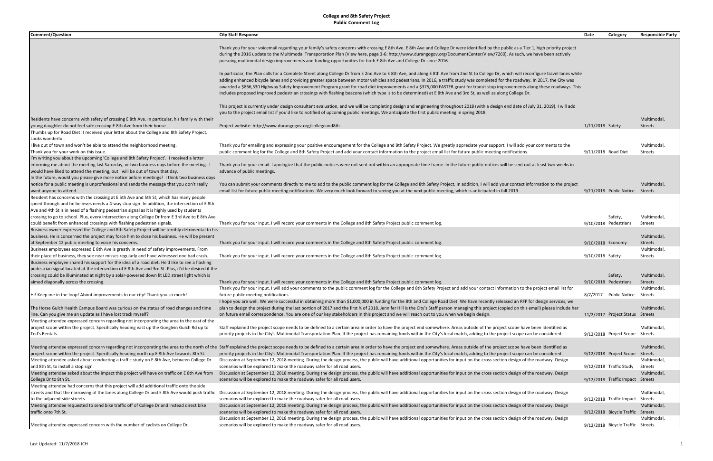| <b>Comment/Question</b>                                                                             | <b>City Staff Response</b>                                                                                                                                                                                                    | Date<br>Category                  | <b>Responsible Party</b> |
|-----------------------------------------------------------------------------------------------------|-------------------------------------------------------------------------------------------------------------------------------------------------------------------------------------------------------------------------------|-----------------------------------|--------------------------|
|                                                                                                     |                                                                                                                                                                                                                               |                                   |                          |
|                                                                                                     | Thank you for your voicemail regarding your family's safety concerns with crossing E 8th Ave. E 8th Ave and College Dr were identified by the public as a Tier 1, high priority project                                       |                                   |                          |
|                                                                                                     | during the 2016 update to the Multimodal Transportation Plan (View here, page 3-6: http://www.durangogov.org/DocumentCenter/View/7260). As such, we have been actively                                                        |                                   |                          |
|                                                                                                     | pursuing multimodal design improvements and funding opportunities for both E 8th Ave and College Dr since 2016.                                                                                                               |                                   |                          |
|                                                                                                     |                                                                                                                                                                                                                               |                                   |                          |
|                                                                                                     | In particular, the Plan calls for a Complete Street along College Dr from E 2nd Ave to E 8th Ave, and along E 8th Ave from 2nd St to College Dr, which will reconfigure travel lanes while                                    |                                   |                          |
|                                                                                                     | adding enhanced bicycle lanes and providing greater space between motor vehicles and pedestrians. In 2016, a traffic study was completed for the roadway. In 2017, the City was                                               |                                   |                          |
|                                                                                                     | awarded a \$866,530 Highway Safety Improvement Program grant for road diet improvements and a \$375,000 FASTER grant for transit stop improvements along these roadways. This                                                 |                                   |                          |
|                                                                                                     | includes proposed improved pedestrian crossings with flashing beacons (which type is to be determined) at E 8th Ave and 3rd St, as well as along College Dr.                                                                  |                                   |                          |
|                                                                                                     |                                                                                                                                                                                                                               |                                   |                          |
|                                                                                                     | This project is currently under design consultant evaluation, and we will be completing design and engineering throughout 2018 (with a design end date of July 31, 2019). I will add                                          |                                   |                          |
|                                                                                                     | you to the project email list if you'd like to notified of upcoming public meetings. We anticipate the first public meeting in spring 2018.                                                                                   |                                   |                          |
| Residents have concerns with safety of crossing E 8th Ave. In particular, his family with their     |                                                                                                                                                                                                                               |                                   | Multimodal,              |
| young daughter do not feel safe crossing E 8th Ave from their house.                                | Project website: http://www.durangogov.org/collegeand8th                                                                                                                                                                      | 1/11/2018 Safety                  | <b>Streets</b>           |
| Thumbs up for Road Diet! I received your letter about the College and 8th Safety Project.           |                                                                                                                                                                                                                               |                                   |                          |
| Looks wonderful.                                                                                    |                                                                                                                                                                                                                               |                                   |                          |
| I live out of town and won't be able to attend the neighborhood meeting.                            | Thank you for emailing and expressing your positive encouragement for the College and 8th Safety Project. We greatly appreciate your support. I will add your comments to the                                                 |                                   | Multimodal,              |
| Thank you for your work on this issue.                                                              | public comment log for the College and 8th Safety Project and add your contact information to the project email list for future public meeting notifications.                                                                 | 9/11/2018 Road Diet               | Streets                  |
| I'm writing you about the upcoming 'College and 8th Safety Project'. I received a letter            |                                                                                                                                                                                                                               |                                   |                          |
| informing me about the meeting last Saturday, or two business days before the meeting.              | Thank you for your email. I apologize that the public notices were not sent out within an appropriate time frame. In the future public notices will be sent out at least two weeks in                                         |                                   |                          |
| would have liked to attend the meeting, but I will be out of town that day.                         | advance of public meetings.                                                                                                                                                                                                   |                                   |                          |
| In the future, would you please give more notice before meetings? I think two business days         |                                                                                                                                                                                                                               |                                   |                          |
| notice for a public meeting is unprofessional and sends the message that you don't really           | You can submit your comments directly to me to add to the public comment log for the College and 8th Safety Project. In addition, I will add your contact information to the project                                          |                                   | Multimodal,              |
| want anyone to attend.                                                                              | email list for future public meeting notifications. We very much look forward to seeing you at the next public meeting, which is anticipated in fall 2019.                                                                    | 9/11/2018 Public Notice           | Streets                  |
| Resident has concerns with the crossing at E 5th Ave and 5th St, which has many people              |                                                                                                                                                                                                                               |                                   |                          |
| speed through and he believes needs a 4-way stop sign. In addition, the intersection of E 8th       |                                                                                                                                                                                                                               |                                   |                          |
| Ave and 4th St is in need of a flashing pedestrian signal as it is highly used by students          |                                                                                                                                                                                                                               |                                   |                          |
| crossing to go to school. Plus, every intersection along College Dr from E 3rd Ave to E 8th Ave     |                                                                                                                                                                                                                               | Safety,                           | Multimodal               |
| could benefit from enhanced crossings with flashing pedestrian signals.                             | Thank you for your input. I will record your comments in the College and 8th Safety Project public comment log.                                                                                                               | 9/10/2018 Pedestrians             | Streets                  |
| Business owner expressed the College and 8th Safety Project will be terribly detrimental to his     |                                                                                                                                                                                                                               |                                   |                          |
| business. He is concerned the project may force him to close his business. He will be present       |                                                                                                                                                                                                                               |                                   | Multimodal,              |
| at September 12 public meeting to voice his concerns.                                               | Thank you for your input. I will record your comments in the College and 8th Safety Project public comment log.                                                                                                               | 9/10/2018 Economy                 | <b>Streets</b>           |
| Business employees expressed E 8th Ave is greatly in need of safety improvements. From              |                                                                                                                                                                                                                               |                                   | Multimodal,              |
| their place of business, they see near misses regularly and have witnessed one bad crash.           | Thank you for your input. I will record your comments in the College and 8th Safety Project public comment log.                                                                                                               | 9/10/2018 Safety                  | <b>Streets</b>           |
| Business employee shared his support for the idea of a road diet. He'd like to see a flashing       |                                                                                                                                                                                                                               |                                   |                          |
| pedestrian signal located at the intersection of E 8th Ave and 3rd St. Plus, it'd be desired if the |                                                                                                                                                                                                                               |                                   |                          |
| crossing could be illuminated at night by a solar-powered down lit LED street light which is        |                                                                                                                                                                                                                               | Safety,                           | Multimodal,              |
| aimed diagonally across the crossing.                                                               | Thank you for your input. I will record your comments in the College and 8th Safety Project public comment log.                                                                                                               | 9/10/2018 Pedestrians             | Streets                  |
|                                                                                                     | Thank you for your input. I will add your comments to the public comment log for the College and 8th Safety Project and add your contact information to the project email list for                                            |                                   | <b>Multimodal</b>        |
| Hi! Keep me in the loop! About improvements to our city! Thank you so much!                         | future public meeting notifications.                                                                                                                                                                                          | 8/7/2017 Public Notice Streets    |                          |
|                                                                                                     | I hope you are well. We were successful in obtaining more than \$1,000,000 in funding for the 8th and College Road Diet. We have recently released an RFP for design services, we                                             |                                   |                          |
| The Horse Gulch Health Campus Board was curious on the status of road changes and time              | plan to design the project during the last portion of 2017 and the first ¼ of 2018. Jennifer Hill is the City's Staff person managing this project (copied on this email) please include her                                  |                                   | Multimodal,              |
| line. Can you give me an update as I have lost track myself?                                        | on future email correspondence. You are one of our key stakeholders in this project and we will reach out to you when we begin design.                                                                                        | 11/2/2017 Project Status Streets  |                          |
| Meeting attendee expressed concern regarding not incorporating the area to the east of the          |                                                                                                                                                                                                                               |                                   |                          |
| project scope within the project. Specifically heading east up the Goeglein Gulch Rd up to          | Staff explained the project scope needs to be defined to a certain area in order to have the project end somewhere. Areas outside of the project scope have been identified as                                                |                                   | Multimodal,              |
| Ted's Rentals.                                                                                      | priority projects in the City's Multimodal Transportation Plan. If the project has remaining funds within the City's local match, adding to the project scope can be considered.                                              | 9/12/2018 Project Scope Streets   |                          |
|                                                                                                     |                                                                                                                                                                                                                               |                                   |                          |
|                                                                                                     | Meeting attendee expressed concern regarding not incorporating the area to the north of the Staff explained the project scope needs to be defined to a certain area in order to have the project end somewhere. Areas outside |                                   | Multimodal,              |
| project scope within the project. Specifically heading north up E 8th Ave towards 8th St.           | priority projects in the City's Multimodal Transportation Plan. If the project has remaining funds within the City's local match, adding to the project scope can be considered.                                              | 9/12/2018 Project Scope           | Streets                  |
| Meeting attendee asked about conducting a traffic study on E 8th Ave, between College Dr            | Discussion at September 12, 2018 meeting. During the design process, the public will have additional opportunities for input on the cross section design of the roadway. Design                                               |                                   | Multimodal,              |
| and 8th St, to install a stop sign.                                                                 | scenarios will be explored to make the roadway safer for all road users.                                                                                                                                                      | $9/12/2018$ Traffic Study         | Streets                  |
| Meeting attendee asked about the impact this project will have on traffic on E 8th Ave from         | Discussion at September 12, 2018 meeting. During the design process, the public will have additional opportunities for input on the cross section design of the roadway. Design                                               |                                   | Multimodal,              |
| College Dr to 8th St.                                                                               | scenarios will be explored to make the roadway safer for all road users.                                                                                                                                                      | 9/12/2018 Traffic Impact Streets  |                          |
| Meeting attendee had concerns that this project will add additional traffic onto the side           |                                                                                                                                                                                                                               |                                   |                          |
|                                                                                                     | streets and that the narrowing of the lanes along College Dr and E 8th Ave would push traffic Discussion at September 12, 2018 meeting. During the design process, the public will have additional opportunities for input on |                                   | Multimodal,              |
| to the adjacent side streets.                                                                       | scenarios will be explored to make the roadway safer for all road users.                                                                                                                                                      | 9/12/2018 Traffic Impact Streets  |                          |
| Meeting attendee requested to send bike traffic off of College Dr and instead direct bike           | Discussion at September 12, 2018 meeting. During the design process, the public will have additional opportunities for input on the cross section design of the roadway. Design                                               |                                   | Multimodal,              |
| traffic onto 7th St.                                                                                | scenarios will be explored to make the roadway safer for all road users.                                                                                                                                                      | 9/12/2018 Bicycle Traffic Streets |                          |
|                                                                                                     | Discussion at September 12, 2018 meeting. During the design process, the public will have additional opportunities for input on the cross section design of the roadway. Design                                               |                                   | Multimodal,              |
| Meeting attendee expressed concern with the number of cyclists on College Dr.                       | scenarios will be explored to make the roadway safer for all road users.                                                                                                                                                      | 9/12/2018 Bicycle Traffic Streets |                          |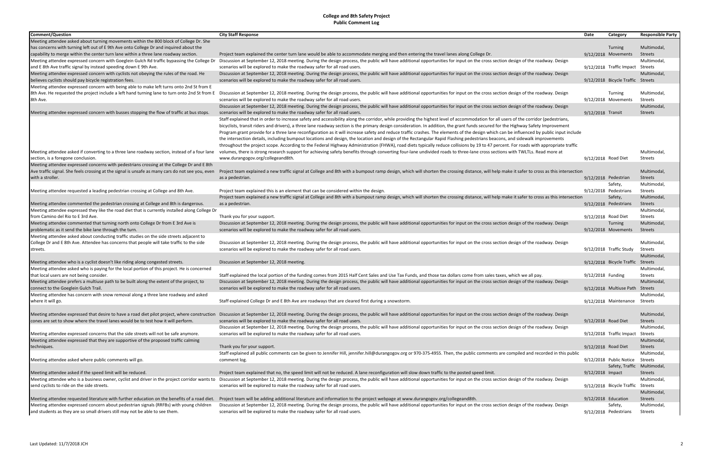| Comment/Question                                                                                 | <b>City Staff Response</b>                                                                                                                                                                                                                                                                                                                                          | Date                | Category                          | <b>Responsible Party</b> |
|--------------------------------------------------------------------------------------------------|---------------------------------------------------------------------------------------------------------------------------------------------------------------------------------------------------------------------------------------------------------------------------------------------------------------------------------------------------------------------|---------------------|-----------------------------------|--------------------------|
| Meeting attendee asked about turning movements within the 800 block of College Dr. She           |                                                                                                                                                                                                                                                                                                                                                                     |                     |                                   |                          |
| has concerns with turning left out of E 9th Ave onto College Dr and inquired about the           |                                                                                                                                                                                                                                                                                                                                                                     |                     | Turning                           | Multimodal,              |
| capability to merge within the center turn lane within a three lane roadway section.             | Project team explained the center turn lane would be able to accommodate merging and then entering the travel lanes along College Dr.                                                                                                                                                                                                                               |                     | 9/12/2018 Movements               | <b>Streets</b>           |
| Meeting attendee expressed concern with Goeglein Gulch Rd traffic bypassing the College Dr       | Discussion at September 12, 2018 meeting. During the design process, the public will have additional opportunities for input on the cross section design of the roadway. Design                                                                                                                                                                                     |                     |                                   | Multimodal,              |
| and E 8th Ave traffic signal by instead speeding down E 9th Ave.                                 | scenarios will be explored to make the roadway safer for all road users.                                                                                                                                                                                                                                                                                            |                     | 9/12/2018 Traffic Impact Streets  |                          |
| Meeting attendee expressed concern with cyclists not obeying the rules of the road. He           | Discussion at September 12, 2018 meeting. During the design process, the public will have additional opportunities for input on the cross section design of the roadway. Design                                                                                                                                                                                     |                     |                                   | Multimodal,              |
| believes cyclists should pay bicycle registration fees.                                          | scenarios will be explored to make the roadway safer for all road users.                                                                                                                                                                                                                                                                                            |                     | 9/12/2018 Bicycle Traffic Streets |                          |
| Meeting attendee expressed concern with being able to make left turns onto 2nd St from E         |                                                                                                                                                                                                                                                                                                                                                                     |                     |                                   |                          |
|                                                                                                  | 8th Ave. He requested the project include a left hand turning lane to turn onto 2nd St from E Discussion at September 12, 2018 meeting. During the design process, the public will have additional opportunities for input on                                                                                                                                       |                     | Turning                           | Multimodal,              |
| 8th Ave.                                                                                         | scenarios will be explored to make the roadway safer for all road users.                                                                                                                                                                                                                                                                                            |                     | 9/12/2018 Movements               | Streets                  |
|                                                                                                  | Discussion at September 12, 2018 meeting. During the design process, the public will have additional opportunities for input on the cross section design of the roadway. Design                                                                                                                                                                                     |                     |                                   | Multimodal,              |
| Meeting attendee expressed concern with busses stopping the flow of traffic at bus stops.        | scenarios will be explored to make the roadway safer for all road users.                                                                                                                                                                                                                                                                                            | 9/12/2018 Transit   |                                   | <b>Streets</b>           |
|                                                                                                  | Staff explained that in order to increase safety and accessibility along the corridor, while providing the highest level of accommodation for all users of the corridor (pedestrians,                                                                                                                                                                               |                     |                                   |                          |
|                                                                                                  | bicyclists, transit riders and drivers), a three lane roadway section is the primary design consideration. In addition, the grant funds secured for the Highway Safety Improvement                                                                                                                                                                                  |                     |                                   |                          |
|                                                                                                  | Program grant provide for a three lane reconfiguration as it will increase safety and reduce traffic crashes. The elements of the design which can be influenced by public input include                                                                                                                                                                            |                     |                                   |                          |
|                                                                                                  | the intersection details, including bumpout locations and design, the location and design of the Rectangular Rapid Flashing pedestrians beacons, and sidewalk improvements                                                                                                                                                                                          |                     |                                   |                          |
| Meeting attendee asked if converting to a three lane roadway section, instead of a four lane     | throughout the project scope. According to the Federal Highway Administration (FHWA), road diets typically reduce collisions by 19 to 47 percent. For roads with appropriate traffic<br>volumes, there is strong research support for achieving safety benefits through converting four-lane undivided roads to three-lane cross sections with TWLTLs. Read more at |                     |                                   | Multimodal,              |
| section, is a foregone conclusion.                                                               | www.durangogov.org/collegeand8th.                                                                                                                                                                                                                                                                                                                                   | 9/12/2018 Road Diet |                                   | <b>Streets</b>           |
| Meeting attendee expressed concerns with pedestrians crossing at the College Dr and E 8th        |                                                                                                                                                                                                                                                                                                                                                                     |                     |                                   |                          |
| Ave traffic signal. She feels crossing at the signal is unsafe as many cars do not see you, even | Project team explained a new traffic signal at College and 8th with a bumpout ramp design, which will shorten the crossing distance, will help make it safer to cross as this intersection                                                                                                                                                                          |                     |                                   | Multimodal,              |
| with a stroller.                                                                                 | as a pedestrian.                                                                                                                                                                                                                                                                                                                                                    |                     | 9/12/2018 Pedestrian              | Streets                  |
|                                                                                                  |                                                                                                                                                                                                                                                                                                                                                                     |                     | Safety,                           | Multimodal,              |
| Meeting attendee requested a leading pedestrian crossing at College and 8th Ave.                 | Project team explained this is an element that can be considered within the design.                                                                                                                                                                                                                                                                                 |                     | 9/12/2018 Pedestrians             | Streets                  |
|                                                                                                  | Project team explained a new traffic signal at College and 8th with a bumpout ramp design, which will shorten the crossing distance, will help make it safer to cross as this intersection                                                                                                                                                                          |                     | Safety,                           | Multimodal,              |
| Meeting attendee commented the pedestrian crossing at College and 8th is dangerous.              | as a pedestrian.                                                                                                                                                                                                                                                                                                                                                    |                     | 9/12/2018 Pedestrians             | <b>Streets</b>           |
| Meeting attendee expressed they like the road diet that is currently installed along College Dr  |                                                                                                                                                                                                                                                                                                                                                                     |                     |                                   | Multimodal,              |
| from Camino del Rio to E 3rd Ave.                                                                | Thank you for your support.                                                                                                                                                                                                                                                                                                                                         | 9/12/2018 Road Diet |                                   | <b>Streets</b>           |
| Meeting attendee commented that turning north onto College Dr from E 3rd Ave is                  | Discussion at September 12, 2018 meeting. During the design process, the public will have additional opportunities for input on the cross section design of the roadway. Design                                                                                                                                                                                     |                     | <b>Turning</b>                    | Multimodal,              |
| problematic as it send the bike lane through the turn.                                           | scenarios will be explored to make the roadway safer for all road users.                                                                                                                                                                                                                                                                                            |                     | 9/12/2018 Movements               | <b>Streets</b>           |
| Meeting attendee asked about conducting traffic studies on the side streets adjacent to          |                                                                                                                                                                                                                                                                                                                                                                     |                     |                                   |                          |
| College Dr and E 8th Ave. Attendee has concerns that people will take traffic to the side        | Discussion at September 12, 2018 meeting. During the design process, the public will have additional opportunities for input on the cross section design of the roadway. Design                                                                                                                                                                                     |                     |                                   | Multimodal,              |
| streets.                                                                                         | scenarios will be explored to make the roadway safer for all road users.                                                                                                                                                                                                                                                                                            |                     | 9/12/2018 Traffic Study           | Streets                  |
|                                                                                                  |                                                                                                                                                                                                                                                                                                                                                                     |                     |                                   | Multimodal,              |
| Meeting attendee who is a cyclist doesn't like riding along congested streets.                   | Discussion at September 12, 2018 meeting.                                                                                                                                                                                                                                                                                                                           |                     | 9/12/2018 Bicycle Traffic Streets |                          |
| Meeting attendee asked who is paying for the local portion of this project. He is concerned      |                                                                                                                                                                                                                                                                                                                                                                     |                     |                                   | Multimodal,              |
| that local users are not being consider.                                                         | Staff explained the local portion of the funding comes from 2015 Half Cent Sales and Use Tax Funds, and those tax dollars come from sales taxes, which we all pay                                                                                                                                                                                                   | 9/12/2018 Funding   |                                   | <b>Streets</b>           |
| Meeting attendee prefers a multiuse path to be built along the extent of the project, to         | Discussion at September 12, 2018 meeting. During the design process, the public will have additional opportunities for input on the cross section design of the roadway. Design                                                                                                                                                                                     |                     |                                   | Multimodal,              |
| connect to the Goeglein Gulch Trail.                                                             | scenarios will be explored to make the roadway safer for all road users.                                                                                                                                                                                                                                                                                            |                     | 9/12/2018 Multiuse Path Streets   |                          |
| Meeting attendee has concern with snow removal along a three lane roadway and asked              |                                                                                                                                                                                                                                                                                                                                                                     |                     |                                   | Multimodal               |
| where it will go.                                                                                | Staff explained College Dr and E 8th Ave are roadways that are cleared first during a snowstorm.                                                                                                                                                                                                                                                                    |                     | 9/12/2018 Maintenance Streets     |                          |
|                                                                                                  |                                                                                                                                                                                                                                                                                                                                                                     |                     |                                   |                          |
| Meeting attendee expressed that desire to have a road diet pilot project, where construction     | Discussion at September 12, 2018 meeting. During the design process, the public will have additional opportunities for input on the cross section design of the roadway. Design                                                                                                                                                                                     |                     |                                   | Multimodal,              |
| cones are set to show where the travel lanes would be to test how it will perform.               | scenarios will be explored to make the roadway safer for all road users.                                                                                                                                                                                                                                                                                            | 9/12/2018 Road Diet |                                   | Streets                  |
| Meeting attendee expressed concerns that the side streets will not be safe anymore.              | Discussion at September 12, 2018 meeting. During the design process, the public will have additional opportunities for input on the cross section design of the roadway. Design<br>scenarios will be explored to make the roadway safer for all road users.                                                                                                         |                     |                                   | Multimodal,<br>Streets   |
| Meeting attendee expressed that they are supportive of the proposed traffic calming              |                                                                                                                                                                                                                                                                                                                                                                     |                     | 9/12/2018 Traffic Impact          | Multimodal,              |
| techniques.                                                                                      | Thank you for your support.                                                                                                                                                                                                                                                                                                                                         | 9/12/2018 Road Diet |                                   | <b>Streets</b>           |
|                                                                                                  | Staff explained all public comments can be given to Jennifer Hill, jennifer.hill@durangogov.org or 970-375-4955. Then, the public comments are compiled and recorded in this public                                                                                                                                                                                 |                     |                                   | Multimodal,              |
| Meeting attendee asked where public comments will go.                                            | comment log.                                                                                                                                                                                                                                                                                                                                                        |                     | 9/12/2018 Public Notice Streets   |                          |
|                                                                                                  |                                                                                                                                                                                                                                                                                                                                                                     |                     | Safety, Traffic Multimodal,       |                          |
| Meeting attendee asked if the speed limit will be reduced.                                       | Project team explained that no, the speed limit will not be reduced. A lane reconfiguration will slow down traffic to the posted speed limit.                                                                                                                                                                                                                       | 9/12/2018 Impact    |                                   | <b>Streets</b>           |
|                                                                                                  | Meeting attendee who is a business owner, cyclist and driver in the project corridor wants to Discussion at September 12, 2018 meeting. During the design process, the public will have additional opportunities for input on                                                                                                                                       |                     |                                   | Multimodal,              |
| send cyclists to ride on the side streets.                                                       | scenarios will be explored to make the roadway safer for all road users.                                                                                                                                                                                                                                                                                            |                     | 9/12/2018 Bicycle Traffic Streets |                          |
|                                                                                                  |                                                                                                                                                                                                                                                                                                                                                                     |                     |                                   | Multimodal,              |
| Meeting attendee requested literature with further education on the benefits of a road diet.     | Project team will be adding additional literature and information to the project webpage at www.durangogov.org/collegeand8th.                                                                                                                                                                                                                                       | 9/12/2018 Education |                                   | Streets                  |
| Meeting attendee expressed concern about pedestrian signals (RRFBs) with young children          | Discussion at September 12, 2018 meeting. During the design process, the public will have additional opportunities for input on the cross section design of the roadway. Design                                                                                                                                                                                     |                     | Safety,                           | Multimodal,              |
| and students as they are so small drivers still may not be able to see them.                     | scenarios will be explored to make the roadway safer for all road users.                                                                                                                                                                                                                                                                                            |                     | 9/12/2018 Pedestrians             | Streets                  |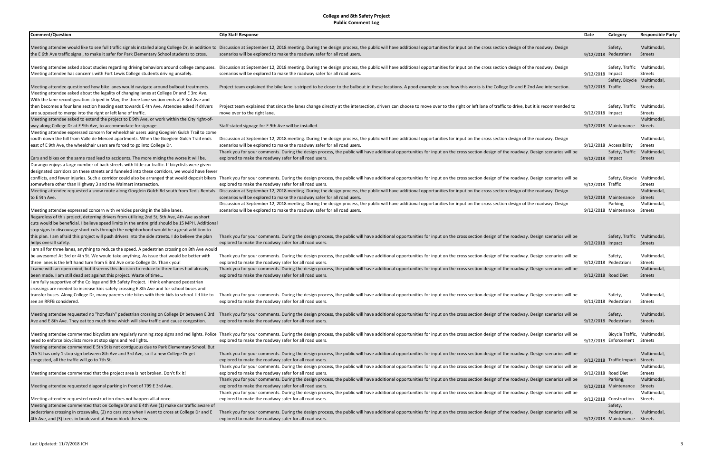| <b>Comment/Question</b>                                                                                                                                              | <b>City Staff Response</b>                                                                                                                                                                                                                                  | Date                | Category                                   | <b>Responsible Party</b> |
|----------------------------------------------------------------------------------------------------------------------------------------------------------------------|-------------------------------------------------------------------------------------------------------------------------------------------------------------------------------------------------------------------------------------------------------------|---------------------|--------------------------------------------|--------------------------|
|                                                                                                                                                                      |                                                                                                                                                                                                                                                             |                     |                                            |                          |
|                                                                                                                                                                      | Meeting attendee would like to see full traffic signals installed along College Dr, in addition to Discussion at September 12, 2018 meeting. During the design process, the public will have additional opportunities for inpu                              |                     | Safety,                                    | Multimodal,              |
| the E 6th Ave traffic signal, to make it safer for Park Elementary School students to cross.                                                                         | scenarios will be explored to make the roadway safer for all road users.                                                                                                                                                                                    |                     | 9/12/2018 Pedestrians                      | Streets                  |
| Meeting attendee asked about studies regarding driving behaviors around college campuses.                                                                            | Discussion at September 12, 2018 meeting. During the design process, the public will have additional opportunities for input on the cross section design of the roadway. Design                                                                             |                     | Safety, Traffic Multimodal,                |                          |
| Meeting attendee has concerns with Fort Lewis College students driving unsafely.                                                                                     | scenarios will be explored to make the roadway safer for all road users.                                                                                                                                                                                    | 9/12/2018 Impact    |                                            | Streets                  |
|                                                                                                                                                                      |                                                                                                                                                                                                                                                             |                     | Safety, Bicycle Multimodal,                |                          |
| Meeting attendee questioned how bike lanes would navigate around bulbout treatments.                                                                                 | Project team explained the bike lane is striped to be closer to the bulbout in these locations. A good example to see how this works is the College Dr and E 2nd Ave intersection.                                                                          | 9/12/2018 Traffic   |                                            | Streets                  |
| Meeting attendee asked about the legality of changing lanes at College Dr and E 3rd Ave.                                                                             |                                                                                                                                                                                                                                                             |                     |                                            |                          |
| With the lane reconfiguration striped in May, the three lane section ends at E 3rd Ave and                                                                           |                                                                                                                                                                                                                                                             |                     |                                            |                          |
| then becomes a four lane section heading east towards E 4th Ave. Attendee asked if drivers                                                                           | Project team explained that since the lanes change directly at the intersection, drivers can choose to move over to the right or left lane of traffic to drive, but it is recommended to                                                                    |                     | Safety, Traffic Multimodal,                |                          |
| are supposed to merge into the right or left lane of traffic.                                                                                                        | move over to the right lane.                                                                                                                                                                                                                                | 9/12/2018 Impact    |                                            | Streets                  |
| Meeting attendee asked to extend the project to E 9th Ave, or work within the City right-of-                                                                         |                                                                                                                                                                                                                                                             |                     |                                            | Multimodal,              |
| way along College Dr at E 9th Ave, to accommodate for signage.                                                                                                       | Staff stated signage for E 9th Ave will be installed.                                                                                                                                                                                                       |                     | 9/12/2018 Maintenance Streets              |                          |
| Meeting attendee expressed concern for wheelchair users using Goeglein Gulch Trail to come                                                                           |                                                                                                                                                                                                                                                             |                     |                                            |                          |
| south down the hill from Valle de Merced apartments. When the Goeglein Gulch Trail ends<br>east of E 9th Ave, the wheelchair users are forced to go into College Dr. | Discussion at September 12, 2018 meeting. During the design process, the public will have additional opportunities for input on the cross section design of the roadway. Design<br>scenarios will be explored to make the roadway safer for all road users. |                     |                                            | Multimodal,              |
|                                                                                                                                                                      | Thank you for your comments. During the design process, the public will have additional opportunities for input on the cross section design of the roadway. Design scenarios will be                                                                        |                     | 9/12/2018 Accessibility<br>Safety, Traffic | Streets<br>Multimodal,   |
| Cars and bikes on the same road lead to accidents. The more mixing the worse it will be.                                                                             | explored to make the roadway safer for all road users.                                                                                                                                                                                                      | 9/12/2018 Impact    |                                            | Streets                  |
| Durango enjoys a large number of back streets with little car traffic. If bicyclists were given                                                                      |                                                                                                                                                                                                                                                             |                     |                                            |                          |
| designated corridors on these streets and funneled into these corridors, we would have fewer                                                                         |                                                                                                                                                                                                                                                             |                     |                                            |                          |
|                                                                                                                                                                      | conflicts, and fewer injuries. Such a corridor could also be arranged that would deposit bikers Thank you for your comments. During the design process, the public will have additional opportunities for input on the cross s                              |                     | Safety, Bicycle Multimodal,                |                          |
| somewhere other than Highway 3 and the Walmart intersection.                                                                                                         | explored to make the roadway safer for all road users.                                                                                                                                                                                                      | 9/12/2018 Traffic   |                                            | Streets                  |
| Meeting attendee requested a snow route along Goeglein Gulch Rd south from Ted's Rentals                                                                             | Discussion at September 12, 2018 meeting. During the design process, the public will have additional opportunities for input on the cross section design of the roadway. Design                                                                             |                     |                                            | Multimodal               |
| to E 9th Ave.                                                                                                                                                        | scenarios will be explored to make the roadway safer for all road users.                                                                                                                                                                                    |                     | 9/12/2018 Maintenance                      | Streets                  |
|                                                                                                                                                                      | Discussion at September 12, 2018 meeting. During the design process, the public will have additional opportunities for input on the cross section design of the roadway. Design                                                                             |                     | Parking,                                   | Multimodal,              |
| Meeting attendee expressed concern with vehicles parking in the bike lanes.                                                                                          | scenarios will be explored to make the roadway safer for all road users.                                                                                                                                                                                    |                     | 9/12/2018 Maintenance Streets              |                          |
| Regardless of this project, deterring drivers from utilizing 2nd St, 5th Ave, 4th Ave as short                                                                       |                                                                                                                                                                                                                                                             |                     |                                            |                          |
| cuts would be beneficial. I believe speed limits in the entire grid should be 15 MPH. Additional                                                                     |                                                                                                                                                                                                                                                             |                     |                                            |                          |
| stop signs to discourage short cuts through the neighborhood would be a great addition to                                                                            |                                                                                                                                                                                                                                                             |                     |                                            |                          |
| this plan. I am afraid this project will push drivers into the side streets. I do believe the plan                                                                   | Thank you for your comments. During the design process, the public will have additional opportunities for input on the cross section design of the roadway. Design scenarios will be                                                                        |                     | Safety, Traffic Multimodal,                |                          |
| helps overall safety.                                                                                                                                                | explored to make the roadway safer for all road users.                                                                                                                                                                                                      | 9/12/2018 Impact    |                                            | Streets                  |
| I am all for three lanes, anything to reduce the speed. A pedestrian crossing on 8th Ave would                                                                       |                                                                                                                                                                                                                                                             |                     |                                            |                          |
| be awesome! At 3rd or 4th St. We would take anything. As issue that would be better with                                                                             | Thank you for your comments. During the design process, the public will have additional opportunities for input on the cross section design of the roadway. Design scenarios will be                                                                        |                     | Safety,                                    | Multimodal,              |
| three lanes is the left hand turn from E 3rd Ave onto College Dr. Thank you!                                                                                         | explored to make the roadway safer for all road users.                                                                                                                                                                                                      |                     | 9/12/2018 Pedestrians                      | Streets                  |
| I came with an open mind, but it seems this decision to reduce to three lanes had already                                                                            | Thank you for your comments. During the design process, the public will have additional opportunities for input on the cross section design of the roadway. Design scenarios will be                                                                        |                     |                                            | Multimodal,              |
| been made. I am still dead set against this project. Waste of time                                                                                                   | explored to make the roadway safer for all road users.                                                                                                                                                                                                      | 9/12/2018 Road Diet |                                            | Streets                  |
| I am fully supportive of the College and 8th Safety Project. I think enhanced pedestrian                                                                             |                                                                                                                                                                                                                                                             |                     |                                            |                          |
| crossings are needed to increase kids safety crossing E 8th Ave and for school buses and                                                                             |                                                                                                                                                                                                                                                             |                     |                                            |                          |
| transfer buses. Along College Dr, many parents ride bikes with their kids to school. I'd like to<br>see an RRFB considered.                                          | Thank you for your comments. During the design process, the public will have additional opportunities for input on the cross section design of the roadway. Design scenarios will be<br>explored to make the roadway safer for all road users.              |                     | Safety,                                    | Multimodal,              |
|                                                                                                                                                                      |                                                                                                                                                                                                                                                             |                     | 9/11/2018 Pedestrians                      | Streets                  |
| Meeting attendee requested no "hot-flash" pedestrian crossing on College Dr between E 3rd                                                                            | Thank you for your comments. During the design process, the public will have additional opportunities for input on the cross section design of the roadway. Design scenarios will be                                                                        |                     | Safety,                                    | Multimodal,              |
| Ave and E 8th Ave. They eat too much time which will slow traffic and cause congestion.                                                                              | explored to make the roadway safer for all road users.                                                                                                                                                                                                      |                     | 9/12/2018 Pedestrians                      | Streets                  |
|                                                                                                                                                                      |                                                                                                                                                                                                                                                             |                     |                                            |                          |
|                                                                                                                                                                      | Meeting attendee commented bicyclists are regularly running stop signs and red lights. Police Thank you for your comments. During the design process, the public will have additional opportunities for input on the cross sec                              |                     | Bicycle Traffic, Multimodal,               |                          |
| need to enforce bicyclists more at stop signs and red lights.                                                                                                        | explored to make the roadway safer for all road users.                                                                                                                                                                                                      |                     | 9/12/2018 Enforcement Streets              |                          |
| Meeting attendee commented E 5th St is not contiguous due to Park Elementary School. But                                                                             |                                                                                                                                                                                                                                                             |                     |                                            |                          |
| 7th St has only 1 stop sign between 8th Ave and 3rd Ave, so if a new College Dr get                                                                                  | Thank you for your comments. During the design process, the public will have additional opportunities for input on the cross section design of the roadway. Design scenarios will be                                                                        |                     |                                            | Multimodal,              |
| congested, all the traffic will go to 7th St.                                                                                                                        | explored to make the roadway safer for all road users.                                                                                                                                                                                                      |                     | 9/12/2018 Traffic Impact Streets           |                          |
|                                                                                                                                                                      | Thank you for your comments. During the design process, the public will have additional opportunities for input on the cross section design of the roadway. Design scenarios will be                                                                        |                     |                                            | Multimodal,              |
| Meeting attendee commented that the project area is not broken. Don't fix it!                                                                                        | explored to make the roadway safer for all road users.                                                                                                                                                                                                      | 9/12/2018 Road Diet |                                            | Streets                  |
|                                                                                                                                                                      | Thank you for your comments. During the design process, the public will have additional opportunities for input on the cross section design of the roadway. Design scenarios will be                                                                        |                     | Parking,                                   | Multimodal,              |
| Meeting attendee requested diagonal parking in front of 799 E 3rd Ave.                                                                                               | explored to make the roadway safer for all road users.                                                                                                                                                                                                      |                     | 9/12/2018 Maintenance Streets              |                          |
|                                                                                                                                                                      | Thank you for your comments. During the design process, the public will have additional opportunities for input on the cross section design of the roadway. Design scenarios will be                                                                        |                     |                                            | Multimodal,              |
| Meeting attendee requested construction does not happen all at once.                                                                                                 | explored to make the roadway safer for all road users.                                                                                                                                                                                                      |                     | 9/12/2018 Construction                     | Streets                  |
| Meeting attendee commented that on College Dr and E 4th Ave (1) make car traffic aware of                                                                            |                                                                                                                                                                                                                                                             |                     | Safety,                                    |                          |
| pedestrians crossing in crosswalks, (2) no cars stop when I want to cross at College Dr and E                                                                        | Thank you for your comments. During the design process, the public will have additional opportunities for input on the cross section design of the roadway. Design scenarios will be                                                                        |                     | Pedestrians,                               | Multimodal,              |
| 4th Ave, and (3) trees in boulevard at Exxon block the view.                                                                                                         | explored to make the roadway safer for all road users.                                                                                                                                                                                                      |                     | 9/12/2018 Maintenance Streets              |                          |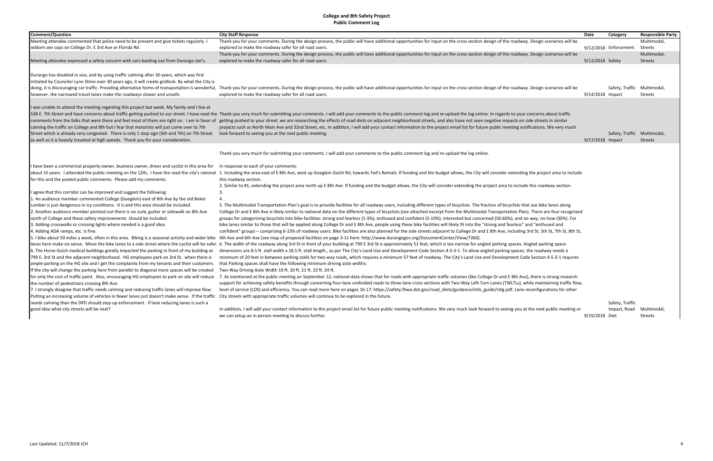| <b>Comment/Question</b>                                                                           | <b>City Staff Response</b>                                                                                                                                                                                                     | Date             | Category                    | <b>Responsible Party</b> |
|---------------------------------------------------------------------------------------------------|--------------------------------------------------------------------------------------------------------------------------------------------------------------------------------------------------------------------------------|------------------|-----------------------------|--------------------------|
| Meeting attendee commented that police need to be present and give tickets regularly.             | Thank you for your comments. During the design process, the public will have additional opportunities for input on the cross section design of the roadway. Design scenarios will be                                           |                  |                             | Multimodal               |
| seldom see cops on College Dr, E 3rd Ave or Florida Rd.                                           | explored to make the roadway safer for all road users.                                                                                                                                                                         |                  | 9/12/2018 Enforcement       | Streets                  |
|                                                                                                   | Thank you for your comments. During the design process, the public will have additional opportunities for input on the cross section design of the roadway. Design scenarios will be                                           |                  |                             | Multimodal,              |
| Meeting attendee expressed a safety concern with cars backing out from Durango Joe's.             | explored to make the roadway safer for all road users.                                                                                                                                                                         | 9/12/2018 Safety |                             | <b>Streets</b>           |
| Durango has doubled in size, and by using traffic calming after 30 years, which was first         |                                                                                                                                                                                                                                |                  |                             |                          |
|                                                                                                   |                                                                                                                                                                                                                                |                  |                             |                          |
| initiated by Councilor Lynn Shine over 30 years ago, it will create gridlock. By what the City is | doing, it is discouraging car traffic. Providing alternative forms of transportation is wonderful, Thank you for your comments. During the design process, the public will have additional opportunities for input on the cros |                  |                             |                          |
|                                                                                                   |                                                                                                                                                                                                                                |                  | Safety, Traffic Multimodal, | <b>Streets</b>           |
| however, the narrowed travel lanes make the roadways slower and unsafe.                           | explored to make the roadway safer for all road users.                                                                                                                                                                         | 9/14/2018 Impact |                             |                          |
| I was unable to attend the meeting regarding this project last week. My family and I live at      |                                                                                                                                                                                                                                |                  |                             |                          |
|                                                                                                   | 538 E. 7th Street and have concerns about traffic getting pushed to our street. I have read the Thank you very much for submitting your comments. I will add your comments to the public comment log and re-upload the log onl |                  |                             |                          |
|                                                                                                   | comments from the folks that were there and feel most of them are right on. I am in favor of getting pushed to your street, we are researching the effects of road diets on adjacent neighborhood streets, and also have not s |                  |                             |                          |
| calming the traffic on College and 8th but I fear that motorists will just come over to 7th       | projects such as North Main Ave and 32nd Street, etc. In addition, I will add your contact information to the project email list for future public meeting notifications. We very much                                         |                  |                             |                          |
| Street which is already very congested. There is only 1 stop sign (5th and 7th) on 7th Street     | look forward to seeing you at the next public meeting.                                                                                                                                                                         |                  | Safety, Traffic Multimodal, |                          |
| as well so it is heavily traveled at high speeds. Thank you for your consideration.               |                                                                                                                                                                                                                                | 9/17/2018 Impact |                             | <b>Streets</b>           |
|                                                                                                   | Thank you very much for submitting your comments. I will add your comments to the public comment log and re-upload the log online.                                                                                             |                  |                             |                          |
|                                                                                                   |                                                                                                                                                                                                                                |                  |                             |                          |
| I have been a commercial property owner, business owner, driver and cyclist in this area for      | In response to each of your comments:                                                                                                                                                                                          |                  |                             |                          |
|                                                                                                   | about 15 years. I attended the public meeting on the 12th, I have the read the city's rational 1. Including the area east of E 8th Ave, west up Goeglein Gulch Rd, towards Ted's Rentals: If funding and the budget allows, th |                  |                             |                          |
| for this and the posted public comments. Please add my comments.                                  | this roadway section.                                                                                                                                                                                                          |                  |                             |                          |
|                                                                                                   | 2. Similar to #1, extending the project area north up E 8th Ave: If funding and the budget allows, the City will consider extending the project area to include this roadway section.                                          |                  |                             |                          |
| I agree that this corridor can be improved and suggest the following:                             | $\overline{3}$ .                                                                                                                                                                                                               |                  |                             |                          |
| 1. An audience member commented College (Goeglein) east of 8th Ave by the old Boker               |                                                                                                                                                                                                                                |                  |                             |                          |
| Lumber is just dangerous in icy conditions. It is and this area should be included.               | 5. The Multimodal Transportation Plan's goal is to provide facilities for all roadway users, including different types of bicyclists. The fraction of bicyclists that use bike lanes along                                     |                  |                             |                          |
| 2. Another audience member pointed out there is no curb, gutter or sidewalk on 8th Ave            | College Dr and E 8th Ave is likely similar to national data on the different types of bicyclists (see attached excerpt from the Multimodal Transportation Plan). There are four recognized                                     |                  |                             |                          |
| north of College and these safety improvements should be included.                                | groups for categorizing bicyclists into bike facilities: strong and fearless (1-3%); enthused and confident (5-10%); interested but concerned (50-60%); and no way, no how (30%). For                                          |                  |                             |                          |
| 3. Adding crosswalks or crossing lights where needed is a good idea.                              | bike lanes similar to those that will be applied along College Dr and E 8th Ave, people using these bike facilities will likely fit into the "strong and fearless" and "enthused and                                           |                  |                             |                          |
| 4. Adding ADA ramps, etc. is fine.                                                                | confident" groups – comprising 6-13% of roadway users. Bike facilities are also planned for the side streets adjacent to College Dr and E 8th Ave, including 3rd St, 5th St, 7th St, 8th St, 7th St, 8th St,                   |                  |                             |                          |
| 5. I bike about 50 miles a week, often in this area. Biking is a seasonal activity and wider bike | .4th Ave and 6th Ave (see map of proposed facilities on page 3-11 here: http://www.durangogov.org/DocumentCenter/View/7260)                                                                                                    |                  |                             |                          |
|                                                                                                   | lanes here make no sense. Move the bike lanes to a side street where the cyclist will be safer. 6. The width of the roadway along 3rd St in front of your building at 799 E 3rd St is approximately 51 feet, which is too narr |                  |                             |                          |
| 6. The Horse Gulch medical buildings greatly impacted the parking in front of my building at      | dimensions are 8.5 ft. stall width x 18.5 ft. stall length., as per The City's Land Use and Development Code Section 4-5-3-1. To allow angled parking spaces, the roadway needs a                                              |                  |                             |                          |
| 799 E. 3rd St and the adjacent neighborhood. HG employees park on 3rd St. when there is           | minimum of 20 feet in between parking stalls for two-way roads, which requires a minimum 57 feet of roadway. The City's Land Use and Development Code Section 4-5-3-1 requires                                                 |                  |                             |                          |
| ample parking on the HG site and I get the complaints from my tenants and their customers.        | that Parking spaces shall have the following minimum driving aisle widths:                                                                                                                                                     |                  |                             |                          |
| If the city will change the parking here from parallel to diagonal more spaces will be created    | Two-Way Driving Aisle Width 19 ft. 20 ft. 21 ft. 23 ft. 24 ft.                                                                                                                                                                 |                  |                             |                          |
|                                                                                                   | for only the cost of traffic paint. Also, encouraging HG employees to park on site will reduce 7. As mentioned at the public meeting on September 12, national data shows that for roads with appropriate traffic volumes (lik |                  |                             |                          |
| the number of pedestrians crossing 8th Ave.                                                       | support for achieving safety benefits through converting four-lane undivided roads to three-lane cross sections with Two-Way Left-Turn Lanes (TWLTLs), while maintaining traffic flow,                                         |                  |                             |                          |
| 7. I strongly disagree that traffic needs calming and reducing traffic lanes will improve flow.   | level of service (LOS) and efficiency. You can read more here on pages 16-17: https://safety.fhwa.dot.gov/road_diets/guidance/info_guide/rdig.pdf. Lane reconfigurations for other                                             |                  |                             |                          |
| Putting an increasing volume of vehicles in fewer lanes just doesn't make sense. If the traffic   | City streets with appropriate traffic volumes will continue to be explored in the future.                                                                                                                                      |                  |                             |                          |
| needs calming then the DPD should step up enforcement. If lane reducing lanes is such a           |                                                                                                                                                                                                                                |                  | Safety, Traffic             |                          |
| good idea what city streets will be next?                                                         | In addition, I will add your contact information to the project email list for future public meeting notifications. We very much look forward to seeing you at the next public meeting or                                      |                  | Impact, Road                | Multimodal               |
|                                                                                                   | we can setup an in person meeting to discuss further.                                                                                                                                                                          | 9/19/2018 Diet   |                             | <b>Streets</b>           |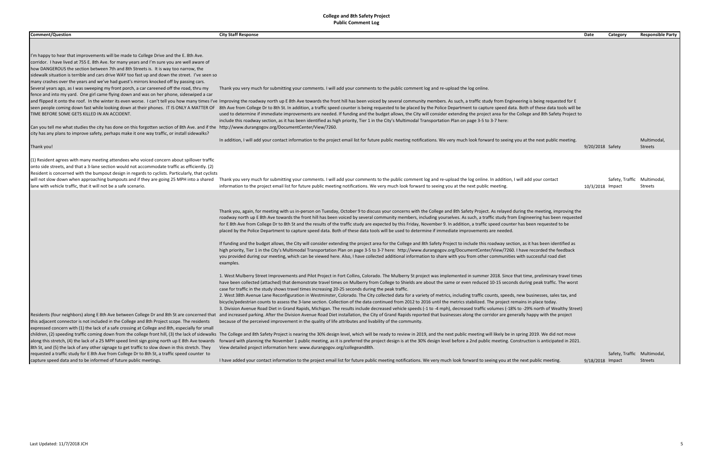Thank you!

| <b>Comment/Question</b>                                                                                                                                                                        | <b>City Staff Response</b>                                                                                                                                                                                                     | Category<br>Date | <b>Responsible Party</b>    |
|------------------------------------------------------------------------------------------------------------------------------------------------------------------------------------------------|--------------------------------------------------------------------------------------------------------------------------------------------------------------------------------------------------------------------------------|------------------|-----------------------------|
|                                                                                                                                                                                                |                                                                                                                                                                                                                                |                  |                             |
|                                                                                                                                                                                                |                                                                                                                                                                                                                                |                  |                             |
| I'm happy to hear that improvements will be made to College Drive and the E. 8th Ave.                                                                                                          |                                                                                                                                                                                                                                |                  |                             |
| corridor. I have lived at 755 E. 8th Ave. for many years and I'm sure you are well aware of                                                                                                    |                                                                                                                                                                                                                                |                  |                             |
| how DANGEROUS the section between 7th and 8th Streets is. It is way too narrow, the                                                                                                            |                                                                                                                                                                                                                                |                  |                             |
| sidewalk situation is terrible and cars drive WAY too fast up and down the street. I've seen so<br>many crashes over the years and we've had guest's mirrors knocked off by passing cars.      |                                                                                                                                                                                                                                |                  |                             |
| Several years ago, as I was sweeping my front porch, a car careened off the road, thru my                                                                                                      | Thank you very much for submitting your comments. I will add your comments to the public comment log and re-upload the log online.                                                                                             |                  |                             |
| fence and into my yard. One girl came flying down and was on her phone, sideswiped a car                                                                                                       |                                                                                                                                                                                                                                |                  |                             |
|                                                                                                                                                                                                | and flipped it onto the roof. In the winter its even worse. I can't tell you how many times I've Improving the roadway north up E 8th Ave towards the front hill has been voiced by several community members. As such, a traf |                  |                             |
| seen people coming down fast while looking down at their phones. IT IS ONLY A MATTER OF                                                                                                        | 8th Ave from College Dr to 8th St. In addition, a traffic speed counter is being requested to be placed by the Police Department to capture speed data. Both of these data tools will be                                       |                  |                             |
| TIME BEFORE SOME GETS KILLED IN AN ACCIDENT.                                                                                                                                                   | used to determine if immediate improvements are needed. If funding and the budget allows, the City will consider extending the project area for the College and 8th Safety Project to                                          |                  |                             |
|                                                                                                                                                                                                | include this roadway section, as it has been identified as high priority, Tier 1 in the City's Multimodal Transportation Plan on page 3-5 to 3-7 here:                                                                         |                  |                             |
| Can you tell me what studies the city has done on this forgotten section of 8th Ave. and if the http://www.durangogov.org/DocumentCenter/View/7260.                                            |                                                                                                                                                                                                                                |                  |                             |
| city has any plans to improve safety, perhaps make it one way traffic, or install sidewalks?                                                                                                   |                                                                                                                                                                                                                                |                  |                             |
|                                                                                                                                                                                                | In addition, I will add your contact information to the project email list for future public meeting notifications. We very much look forward to seeing you at the next public meeting.                                        |                  | Multimodal,                 |
| Thank you!                                                                                                                                                                                     |                                                                                                                                                                                                                                | 9/20/2018 Safety | Streets                     |
| (1) Resident agrees with many meeting attendees who voiced concern about spillover traffic                                                                                                     |                                                                                                                                                                                                                                |                  |                             |
| onto side streets, and that a 3-lane section would not accommodate traffic as efficiently. (2)                                                                                                 |                                                                                                                                                                                                                                |                  |                             |
| Resident is concerned with the bumpout design in regards to cyclists. Particularly, that cyclists                                                                                              |                                                                                                                                                                                                                                |                  |                             |
| will not slow down when approaching bumpouts and if they are going 25 MPH into a shared                                                                                                        | Thank you very much for submitting your comments. I will add your comments to the public comment log and re-upload the log online. In addition, I will add your contact                                                        |                  | Safety, Traffic Multimodal, |
| lane with vehicle traffic, that it will not be a safe scenario.                                                                                                                                | information to the project email list for future public meeting notifications. We very much look forward to seeing you at the next public meeting.                                                                             | 10/3/2018 Impact | Streets                     |
|                                                                                                                                                                                                |                                                                                                                                                                                                                                |                  |                             |
|                                                                                                                                                                                                |                                                                                                                                                                                                                                |                  |                             |
|                                                                                                                                                                                                | Thank you, again, for meeting with us in-person on Tuesday, October 9 to discuss your concerns with the College and 8th Safety Project. As relayed during the meeting, improving the                                           |                  |                             |
|                                                                                                                                                                                                | roadway north up E 8th Ave towards the front hill has been voiced by several community members, including yourselves. As such, a traffic study from Engineering has been requested                                             |                  |                             |
|                                                                                                                                                                                                | for E 8th Ave from College Dr to 8th St and the results of the traffic study are expected by this Friday, November 9. In addition, a traffic speed counter has been requested to be                                            |                  |                             |
|                                                                                                                                                                                                | placed by the Police Department to capture speed data. Both of these data tools will be used to determine if immediate improvements are needed.                                                                                |                  |                             |
|                                                                                                                                                                                                |                                                                                                                                                                                                                                |                  |                             |
|                                                                                                                                                                                                | If funding and the budget allows, the City will consider extending the project area for the College and 8th Safety Project to include this roadway section, as it has been identified as                                       |                  |                             |
|                                                                                                                                                                                                | high priority, Tier 1 in the City's Multimodal Transportation Plan on page 3-5 to 3-7 here: http://www.durangogov.org/DocumentCenter/View/7260. I have recorded the feedback                                                   |                  |                             |
|                                                                                                                                                                                                | you provided during our meeting, which can be viewed here. Also, I have collected additional information to share with you from other communities with successful road diet                                                    |                  |                             |
|                                                                                                                                                                                                | examples.                                                                                                                                                                                                                      |                  |                             |
|                                                                                                                                                                                                | 1. West Mulberry Street Improvements and Pilot Project in Fort Collins, Colorado. The Mulberry St project was implemented in summer 2018. Since that time, preliminary travel times                                            |                  |                             |
|                                                                                                                                                                                                | have been collected (attached) that demonstrate travel times on Mulberry from College to Shields are about the same or even reduced 10-15 seconds during peak traffic. The worst                                               |                  |                             |
|                                                                                                                                                                                                | case for traffic in the study shows travel times increasing 20-25 seconds during the peak traffic.                                                                                                                             |                  |                             |
|                                                                                                                                                                                                | 2. West 38th Avenue Lane Reconfiguration in Westminster, Colorado. The City collected data for a variety of metrics, including traffic counts, speeds, new businesses, sales tax, and                                          |                  |                             |
|                                                                                                                                                                                                | bicycle/pedestrian counts to assess the 3-lane section. Collection of the data continued from 2012 to 2016 until the metrics stabilized. The project remains in place today.                                                   |                  |                             |
|                                                                                                                                                                                                | 3. Division Avenue Road Diet in Grand Rapids, Michigan. The results include decreased vehicle speeds (-1 to -4 mph), decreased traffic volumes (-18% to -29% north of Wealthy Street)                                          |                  |                             |
|                                                                                                                                                                                                | Residents (four neighbors) along E 8th Ave between College Dr and 8th St are concerned that and increased parking. After the Division Avenue Road Diet installation, the City of Grand Rapids reported that businesses along t |                  |                             |
| this adjacent connector is not included in the College and 8th Project scope. The residents<br>expressed concern with (1) the lack of a safe crossing at College and 8th, especially for small | because of the perceived improvement in the quality of life attributes and livability of the community.                                                                                                                        |                  |                             |
|                                                                                                                                                                                                | children, (2) speeding traffic coming down from the college front hill, (3) the lack of sidewalks The College and 8th Safety Project is nearing the 30% design level, which will be ready to review in 2019, and the next publ |                  |                             |
| along this stretch, (4) the lack of a 25 MPH speed limit sign going north up E 8th Ave towards                                                                                                 | forward with planning the November 1 public meeting, as it is preferred the project design is at the 30% design level before a 2nd public meeting. Construction is anticipated in 2021.                                        |                  |                             |
| 8th St, and (5) the lack of any other signage to get traffic to slow down in this stretch. They                                                                                                | View detailed project information here: www.durangogov.org/collegeand8th.                                                                                                                                                      |                  |                             |
| requested a traffic study for E 8th Ave from College Dr to 8th St, a traffic speed counter to                                                                                                  |                                                                                                                                                                                                                                |                  | Safety, Traffic Multimodal, |
| capture speed data and to be informed of future public meetings.                                                                                                                               | I have added your contact information to the project email list for future public meeting notifications. We very much look forward to seeing you at the next public meeting.                                                   | 9/18/2018 Impact | Streets                     |